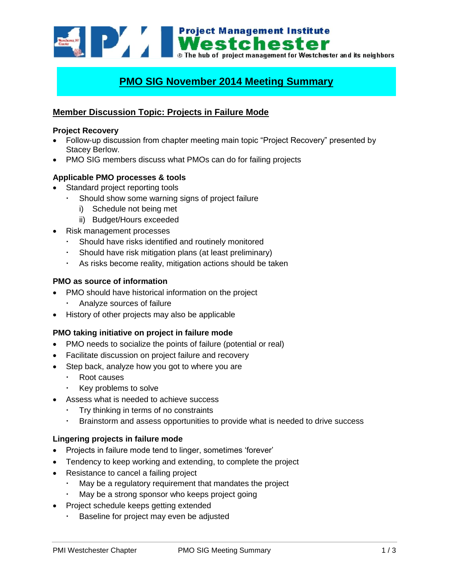**Example 12 Mestchester**<br>**Mestchester**<br>**Mestchester** and its neighbors<br>**Mestchester** and its neighbors

# **PMO SIG November 2014 Meeting Summary**

# **Member Discussion Topic: Projects in Failure Mode**

#### **Project Recovery**

- Follow-up discussion from chapter meeting main topic "Project Recovery" presented by Stacey Berlow.
- PMO SIG members discuss what PMOs can do for failing projects

### **Applicable PMO processes & tools**

- Standard project reporting tools
	- Should show some warning signs of project failure
		- i) Schedule not being met
		- ii) Budget/Hours exceeded
- Risk management processes
	- Should have risks identified and routinely monitored
	- Should have risk mitigation plans (at least preliminary)
	- As risks become reality, mitigation actions should be taken

### **PMO as source of information**

- PMO should have historical information on the project
	- Analyze sources of failure
- History of other projects may also be applicable

### **PMO taking initiative on project in failure mode**

- PMO needs to socialize the points of failure (potential or real)
- Facilitate discussion on project failure and recovery
- Step back, analyze how you got to where you are
	- Root causes
	- **Key problems to solve**
- Assess what is needed to achieve success
	- Try thinking in terms of no constraints
	- Brainstorm and assess opportunities to provide what is needed to drive success

### **Lingering projects in failure mode**

- Projects in failure mode tend to linger, sometimes 'forever'
- Tendency to keep working and extending, to complete the project
- Resistance to cancel a failing project
	- May be a regulatory requirement that mandates the project
	- May be a strong sponsor who keeps project going
	- Project schedule keeps getting extended
		- Baseline for project may even be adjusted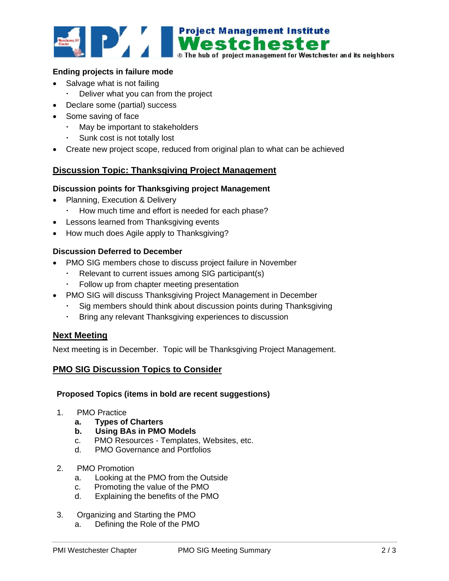

### **Ending projects in failure mode**

- Salvage what is not failing
	- Deliver what you can from the project
- Declare some (partial) success
- Some saving of face
	- May be important to stakeholders
	- Sunk cost is not totally lost
- Create new project scope, reduced from original plan to what can be achieved

# **Discussion Topic: Thanksgiving Project Management**

#### **Discussion points for Thanksgiving project Management**

- Planning, Execution & Delivery
	- How much time and effort is needed for each phase?
- Lessons learned from Thanksgiving events
- How much does Agile apply to Thanksgiving?

# **Discussion Deferred to December**

- PMO SIG members chose to discuss project failure in November
	- Relevant to current issues among SIG participant(s)
	- Follow up from chapter meeting presentation
- PMO SIG will discuss Thanksgiving Project Management in December
	- Sig members should think about discussion points during Thanksgiving
	- Bring any relevant Thanksgiving experiences to discussion

### **Next Meeting**

Next meeting is in December. Topic will be Thanksgiving Project Management.

### **PMO SIG Discussion Topics to Consider**

#### **Proposed Topics (items in bold are recent suggestions)**

- 1. PMO Practice
	- **a. Types of Charters**
	- **b. Using BAs in PMO Models**
	- c. PMO Resources Templates, Websites, etc.
	- d. PMO Governance and Portfolios
- 2. PMO Promotion
	- a. Looking at the PMO from the Outside
	- c. Promoting the value of the PMO
	- d. Explaining the benefits of the PMO
- 3. Organizing and Starting the PMO
	- a. Defining the Role of the PMO